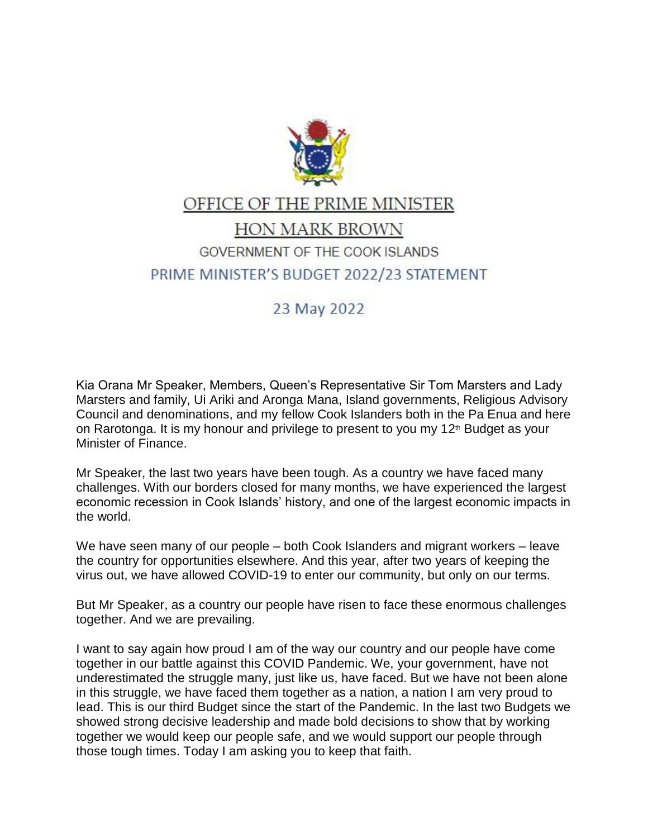

## OFFICE OF THE PRIME MINISTER

## HON MARK BROWN GOVERNMENT OF THE COOK ISLANDS PRIME MINISTER'S BUDGET 2022/23 STATEMENT

## 23 May 2022

Kia Orana Mr Speaker, Members, Queen's Representative Sir Tom Marsters and Lady Marsters and family, Ui Ariki and Aronga Mana, Island governments, Religious Advisory Council and denominations, and my fellow Cook Islanders both in the Pa Enua and here on Rarotonga. It is my honour and privilege to present to you my  $12<sup>th</sup>$  Budget as your Minister of Finance.

Mr Speaker, the last two years have been tough. As a country we have faced many challenges. With our borders closed for many months, we have experienced the largest economic recession in Cook Islands' history, and one of the largest economic impacts in the world.

We have seen many of our people – both Cook Islanders and migrant workers – leave the country for opportunities elsewhere. And this year, after two years of keeping the virus out, we have allowed COVID-19 to enter our community, but only on our terms.

But Mr Speaker, as a country our people have risen to face these enormous challenges together. And we are prevailing.

I want to say again how proud I am of the way our country and our people have come together in our battle against this COVID Pandemic. We, your government, have not underestimated the struggle many, just like us, have faced. But we have not been alone in this struggle, we have faced them together as a nation, a nation I am very proud to lead. This is our third Budget since the start of the Pandemic. In the last two Budgets we showed strong decisive leadership and made bold decisions to show that by working together we would keep our people safe, and we would support our people through those tough times. Today I am asking you to keep that faith.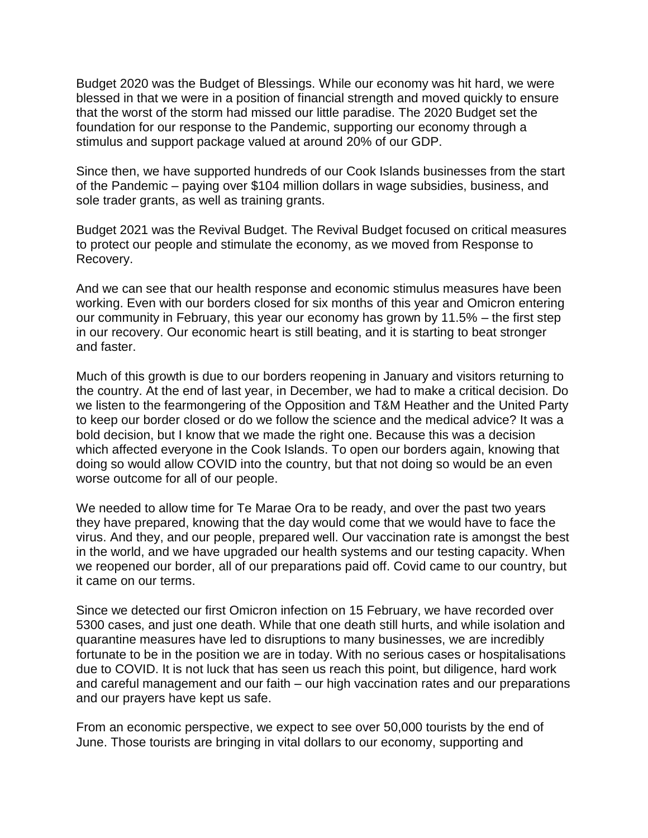Budget 2020 was the Budget of Blessings. While our economy was hit hard, we were blessed in that we were in a position of financial strength and moved quickly to ensure that the worst of the storm had missed our little paradise. The 2020 Budget set the foundation for our response to the Pandemic, supporting our economy through a stimulus and support package valued at around 20% of our GDP.

Since then, we have supported hundreds of our Cook Islands businesses from the start of the Pandemic – paying over \$104 million dollars in wage subsidies, business, and sole trader grants, as well as training grants.

Budget 2021 was the Revival Budget. The Revival Budget focused on critical measures to protect our people and stimulate the economy, as we moved from Response to Recovery.

And we can see that our health response and economic stimulus measures have been working. Even with our borders closed for six months of this year and Omicron entering our community in February, this year our economy has grown by 11.5% – the first step in our recovery. Our economic heart is still beating, and it is starting to beat stronger and faster.

Much of this growth is due to our borders reopening in January and visitors returning to the country. At the end of last year, in December, we had to make a critical decision. Do we listen to the fearmongering of the Opposition and T&M Heather and the United Party to keep our border closed or do we follow the science and the medical advice? It was a bold decision, but I know that we made the right one. Because this was a decision which affected everyone in the Cook Islands. To open our borders again, knowing that doing so would allow COVID into the country, but that not doing so would be an even worse outcome for all of our people.

We needed to allow time for Te Marae Ora to be ready, and over the past two years they have prepared, knowing that the day would come that we would have to face the virus. And they, and our people, prepared well. Our vaccination rate is amongst the best in the world, and we have upgraded our health systems and our testing capacity. When we reopened our border, all of our preparations paid off. Covid came to our country, but it came on our terms.

Since we detected our first Omicron infection on 15 February, we have recorded over 5300 cases, and just one death. While that one death still hurts, and while isolation and quarantine measures have led to disruptions to many businesses, we are incredibly fortunate to be in the position we are in today. With no serious cases or hospitalisations due to COVID. It is not luck that has seen us reach this point, but diligence, hard work and careful management and our faith – our high vaccination rates and our preparations and our prayers have kept us safe.

From an economic perspective, we expect to see over 50,000 tourists by the end of June. Those tourists are bringing in vital dollars to our economy, supporting and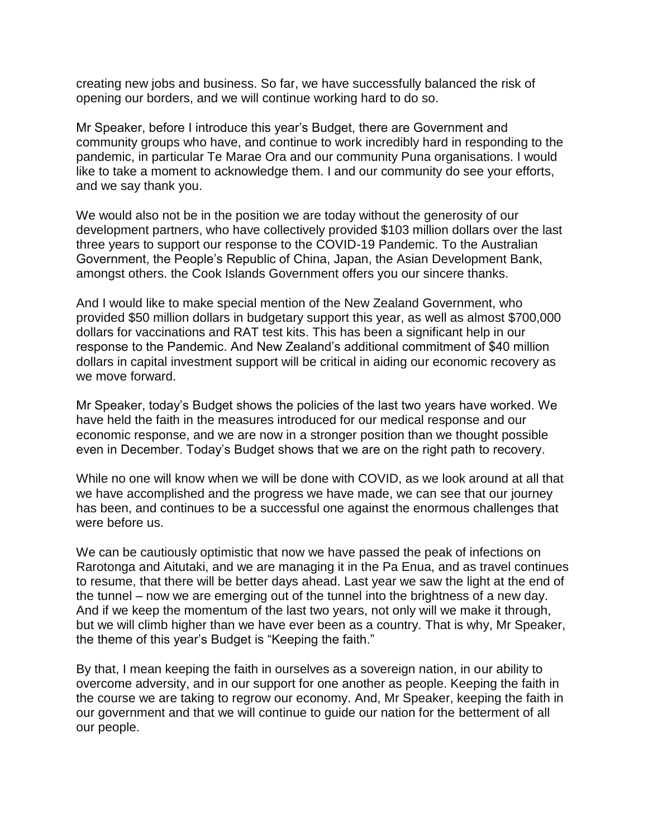creating new jobs and business. So far, we have successfully balanced the risk of opening our borders, and we will continue working hard to do so.

Mr Speaker, before I introduce this year's Budget, there are Government and community groups who have, and continue to work incredibly hard in responding to the pandemic, in particular Te Marae Ora and our community Puna organisations. I would like to take a moment to acknowledge them. I and our community do see your efforts, and we say thank you.

We would also not be in the position we are today without the generosity of our development partners, who have collectively provided \$103 million dollars over the last three years to support our response to the COVID-19 Pandemic. To the Australian Government, the People's Republic of China, Japan, the Asian Development Bank, amongst others. the Cook Islands Government offers you our sincere thanks.

And I would like to make special mention of the New Zealand Government, who provided \$50 million dollars in budgetary support this year, as well as almost \$700,000 dollars for vaccinations and RAT test kits. This has been a significant help in our response to the Pandemic. And New Zealand's additional commitment of \$40 million dollars in capital investment support will be critical in aiding our economic recovery as we move forward.

Mr Speaker, today's Budget shows the policies of the last two years have worked. We have held the faith in the measures introduced for our medical response and our economic response, and we are now in a stronger position than we thought possible even in December. Today's Budget shows that we are on the right path to recovery.

While no one will know when we will be done with COVID, as we look around at all that we have accomplished and the progress we have made, we can see that our journey has been, and continues to be a successful one against the enormous challenges that were before us.

We can be cautiously optimistic that now we have passed the peak of infections on Rarotonga and Aitutaki, and we are managing it in the Pa Enua, and as travel continues to resume, that there will be better days ahead. Last year we saw the light at the end of the tunnel – now we are emerging out of the tunnel into the brightness of a new day. And if we keep the momentum of the last two years, not only will we make it through, but we will climb higher than we have ever been as a country. That is why, Mr Speaker, the theme of this year's Budget is "Keeping the faith."

By that, I mean keeping the faith in ourselves as a sovereign nation, in our ability to overcome adversity, and in our support for one another as people. Keeping the faith in the course we are taking to regrow our economy. And, Mr Speaker, keeping the faith in our government and that we will continue to guide our nation for the betterment of all our people.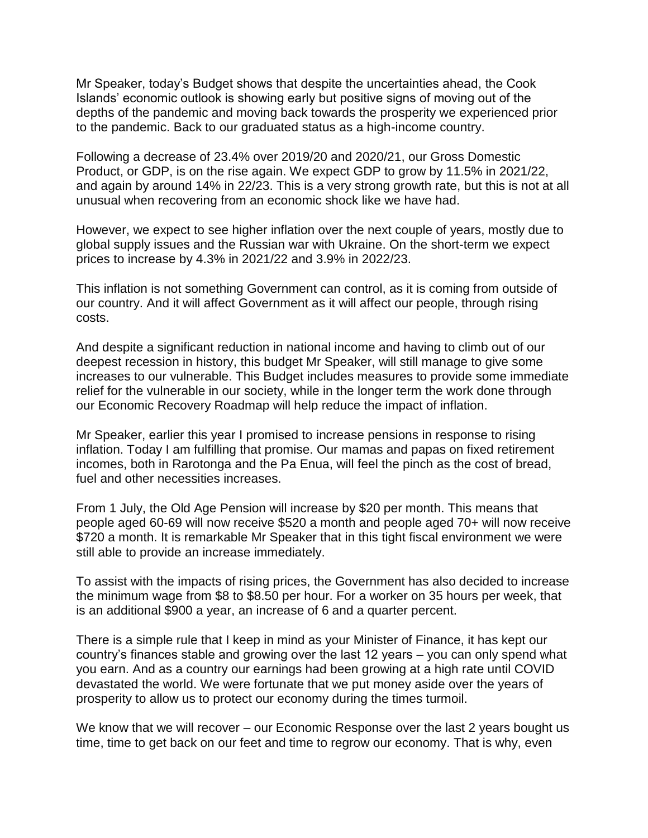Mr Speaker, today's Budget shows that despite the uncertainties ahead, the Cook Islands' economic outlook is showing early but positive signs of moving out of the depths of the pandemic and moving back towards the prosperity we experienced prior to the pandemic. Back to our graduated status as a high-income country.

Following a decrease of 23.4% over 2019/20 and 2020/21, our Gross Domestic Product, or GDP, is on the rise again. We expect GDP to grow by 11.5% in 2021/22, and again by around 14% in 22/23. This is a very strong growth rate, but this is not at all unusual when recovering from an economic shock like we have had.

However, we expect to see higher inflation over the next couple of years, mostly due to global supply issues and the Russian war with Ukraine. On the short-term we expect prices to increase by 4.3% in 2021/22 and 3.9% in 2022/23.

This inflation is not something Government can control, as it is coming from outside of our country. And it will affect Government as it will affect our people, through rising costs.

And despite a significant reduction in national income and having to climb out of our deepest recession in history, this budget Mr Speaker, will still manage to give some increases to our vulnerable. This Budget includes measures to provide some immediate relief for the vulnerable in our society, while in the longer term the work done through our Economic Recovery Roadmap will help reduce the impact of inflation.

Mr Speaker, earlier this year I promised to increase pensions in response to rising inflation. Today I am fulfilling that promise. Our mamas and papas on fixed retirement incomes, both in Rarotonga and the Pa Enua, will feel the pinch as the cost of bread, fuel and other necessities increases.

From 1 July, the Old Age Pension will increase by \$20 per month. This means that people aged 60-69 will now receive \$520 a month and people aged 70+ will now receive \$720 a month. It is remarkable Mr Speaker that in this tight fiscal environment we were still able to provide an increase immediately.

To assist with the impacts of rising prices, the Government has also decided to increase the minimum wage from \$8 to \$8.50 per hour. For a worker on 35 hours per week, that is an additional \$900 a year, an increase of 6 and a quarter percent.

There is a simple rule that I keep in mind as your Minister of Finance, it has kept our country's finances stable and growing over the last 12 years – you can only spend what you earn. And as a country our earnings had been growing at a high rate until COVID devastated the world. We were fortunate that we put money aside over the years of prosperity to allow us to protect our economy during the times turmoil.

We know that we will recover – our Economic Response over the last 2 years bought us time, time to get back on our feet and time to regrow our economy. That is why, even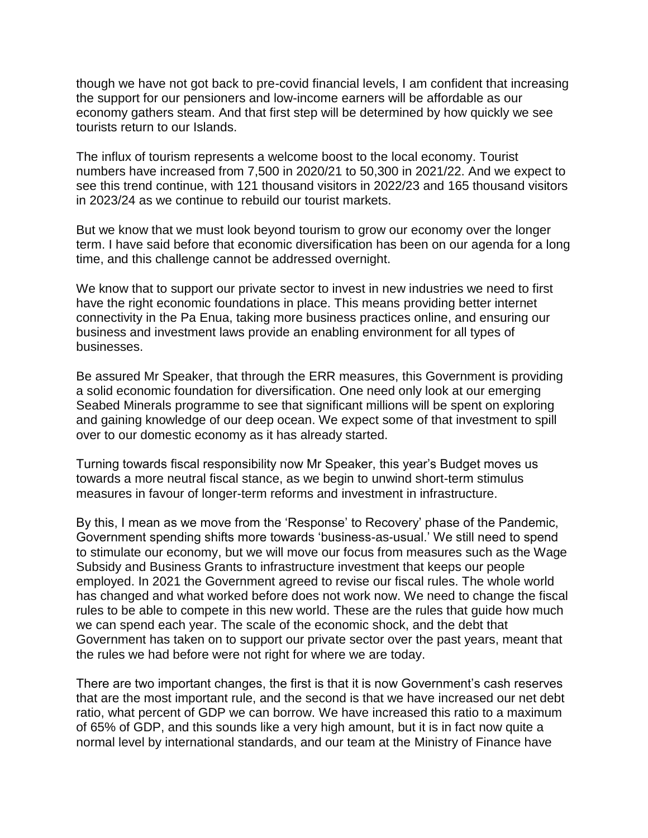though we have not got back to pre-covid financial levels, I am confident that increasing the support for our pensioners and low-income earners will be affordable as our economy gathers steam. And that first step will be determined by how quickly we see tourists return to our Islands.

The influx of tourism represents a welcome boost to the local economy. Tourist numbers have increased from 7,500 in 2020/21 to 50,300 in 2021/22. And we expect to see this trend continue, with 121 thousand visitors in 2022/23 and 165 thousand visitors in 2023/24 as we continue to rebuild our tourist markets.

But we know that we must look beyond tourism to grow our economy over the longer term. I have said before that economic diversification has been on our agenda for a long time, and this challenge cannot be addressed overnight.

We know that to support our private sector to invest in new industries we need to first have the right economic foundations in place. This means providing better internet connectivity in the Pa Enua, taking more business practices online, and ensuring our business and investment laws provide an enabling environment for all types of businesses.

Be assured Mr Speaker, that through the ERR measures, this Government is providing a solid economic foundation for diversification. One need only look at our emerging Seabed Minerals programme to see that significant millions will be spent on exploring and gaining knowledge of our deep ocean. We expect some of that investment to spill over to our domestic economy as it has already started.

Turning towards fiscal responsibility now Mr Speaker, this year's Budget moves us towards a more neutral fiscal stance, as we begin to unwind short-term stimulus measures in favour of longer-term reforms and investment in infrastructure.

By this, I mean as we move from the 'Response' to Recovery' phase of the Pandemic, Government spending shifts more towards 'business-as-usual.' We still need to spend to stimulate our economy, but we will move our focus from measures such as the Wage Subsidy and Business Grants to infrastructure investment that keeps our people employed. In 2021 the Government agreed to revise our fiscal rules. The whole world has changed and what worked before does not work now. We need to change the fiscal rules to be able to compete in this new world. These are the rules that guide how much we can spend each year. The scale of the economic shock, and the debt that Government has taken on to support our private sector over the past years, meant that the rules we had before were not right for where we are today.

There are two important changes, the first is that it is now Government's cash reserves that are the most important rule, and the second is that we have increased our net debt ratio, what percent of GDP we can borrow. We have increased this ratio to a maximum of 65% of GDP, and this sounds like a very high amount, but it is in fact now quite a normal level by international standards, and our team at the Ministry of Finance have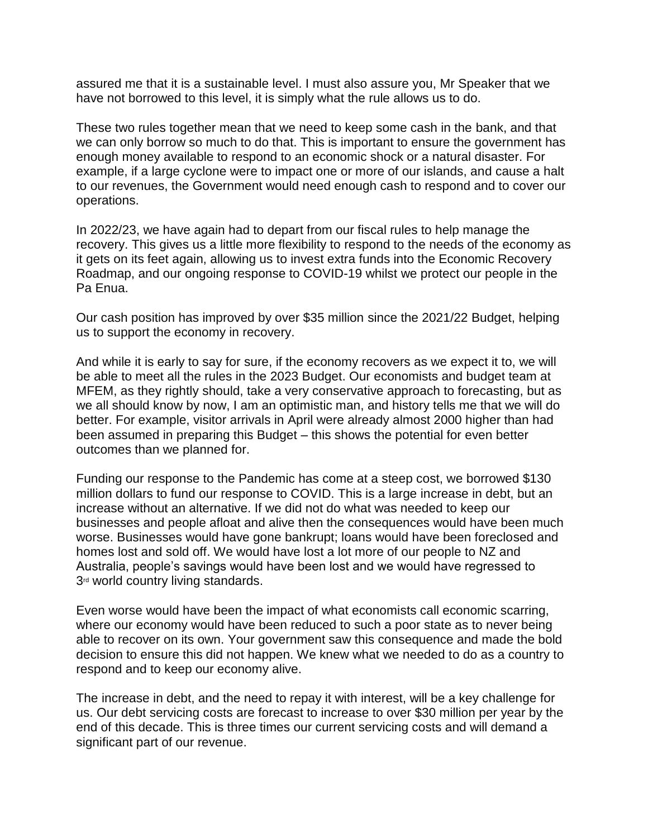assured me that it is a sustainable level. I must also assure you, Mr Speaker that we have not borrowed to this level, it is simply what the rule allows us to do.

These two rules together mean that we need to keep some cash in the bank, and that we can only borrow so much to do that. This is important to ensure the government has enough money available to respond to an economic shock or a natural disaster. For example, if a large cyclone were to impact one or more of our islands, and cause a halt to our revenues, the Government would need enough cash to respond and to cover our operations.

In 2022/23, we have again had to depart from our fiscal rules to help manage the recovery. This gives us a little more flexibility to respond to the needs of the economy as it gets on its feet again, allowing us to invest extra funds into the Economic Recovery Roadmap, and our ongoing response to COVID-19 whilst we protect our people in the Pa Enua.

Our cash position has improved by over \$35 million since the 2021/22 Budget, helping us to support the economy in recovery.

And while it is early to say for sure, if the economy recovers as we expect it to, we will be able to meet all the rules in the 2023 Budget. Our economists and budget team at MFEM, as they rightly should, take a very conservative approach to forecasting, but as we all should know by now, I am an optimistic man, and history tells me that we will do better. For example, visitor arrivals in April were already almost 2000 higher than had been assumed in preparing this Budget – this shows the potential for even better outcomes than we planned for.

Funding our response to the Pandemic has come at a steep cost, we borrowed \$130 million dollars to fund our response to COVID. This is a large increase in debt, but an increase without an alternative. If we did not do what was needed to keep our businesses and people afloat and alive then the consequences would have been much worse. Businesses would have gone bankrupt; loans would have been foreclosed and homes lost and sold off. We would have lost a lot more of our people to NZ and Australia, people's savings would have been lost and we would have regressed to 3<sup>rd</sup> world country living standards.

Even worse would have been the impact of what economists call economic scarring, where our economy would have been reduced to such a poor state as to never being able to recover on its own. Your government saw this consequence and made the bold decision to ensure this did not happen. We knew what we needed to do as a country to respond and to keep our economy alive.

The increase in debt, and the need to repay it with interest, will be a key challenge for us. Our debt servicing costs are forecast to increase to over \$30 million per year by the end of this decade. This is three times our current servicing costs and will demand a significant part of our revenue.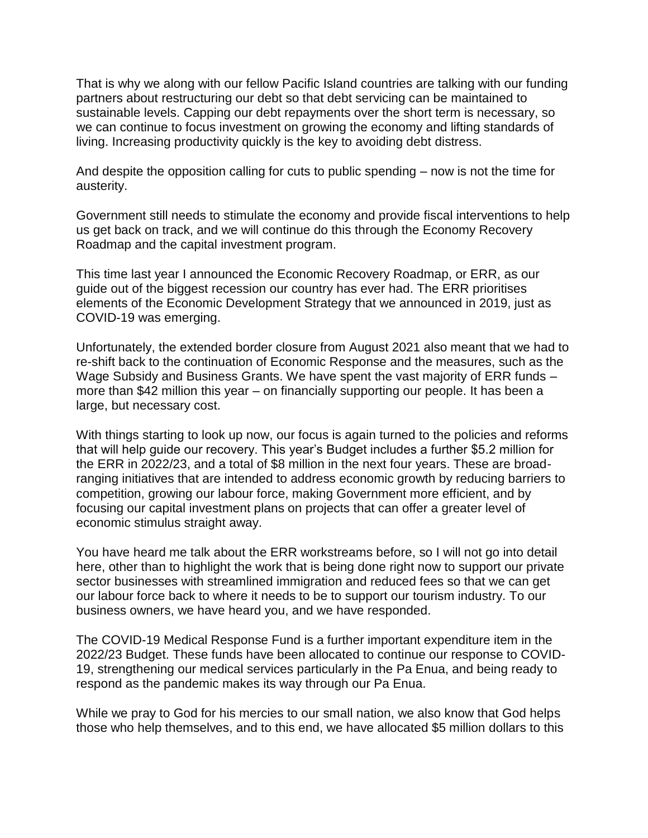That is why we along with our fellow Pacific Island countries are talking with our funding partners about restructuring our debt so that debt servicing can be maintained to sustainable levels. Capping our debt repayments over the short term is necessary, so we can continue to focus investment on growing the economy and lifting standards of living. Increasing productivity quickly is the key to avoiding debt distress.

And despite the opposition calling for cuts to public spending – now is not the time for austerity.

Government still needs to stimulate the economy and provide fiscal interventions to help us get back on track, and we will continue do this through the Economy Recovery Roadmap and the capital investment program.

This time last year I announced the Economic Recovery Roadmap, or ERR, as our guide out of the biggest recession our country has ever had. The ERR prioritises elements of the Economic Development Strategy that we announced in 2019, just as COVID-19 was emerging.

Unfortunately, the extended border closure from August 2021 also meant that we had to re-shift back to the continuation of Economic Response and the measures, such as the Wage Subsidy and Business Grants. We have spent the vast majority of ERR funds – more than \$42 million this year – on financially supporting our people. It has been a large, but necessary cost.

With things starting to look up now, our focus is again turned to the policies and reforms that will help guide our recovery. This year's Budget includes a further \$5.2 million for the ERR in 2022/23, and a total of \$8 million in the next four years. These are broadranging initiatives that are intended to address economic growth by reducing barriers to competition, growing our labour force, making Government more efficient, and by focusing our capital investment plans on projects that can offer a greater level of economic stimulus straight away.

You have heard me talk about the ERR workstreams before, so I will not go into detail here, other than to highlight the work that is being done right now to support our private sector businesses with streamlined immigration and reduced fees so that we can get our labour force back to where it needs to be to support our tourism industry. To our business owners, we have heard you, and we have responded.

The COVID-19 Medical Response Fund is a further important expenditure item in the 2022/23 Budget. These funds have been allocated to continue our response to COVID-19, strengthening our medical services particularly in the Pa Enua, and being ready to respond as the pandemic makes its way through our Pa Enua.

While we pray to God for his mercies to our small nation, we also know that God helps those who help themselves, and to this end, we have allocated \$5 million dollars to this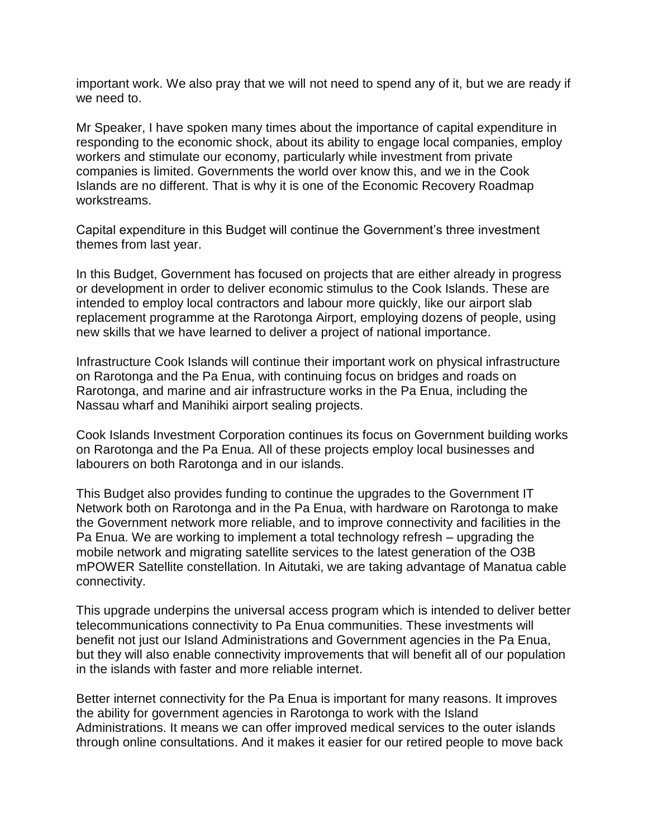important work. We also pray that we will not need to spend any of it, but we are ready if we need to.

Mr Speaker, I have spoken many times about the importance of capital expenditure in responding to the economic shock, about its ability to engage local companies, employ workers and stimulate our economy, particularly while investment from private companies is limited. Governments the world over know this, and we in the Cook Islands are no different. That is why it is one of the Economic Recovery Roadmap workstreams.

Capital expenditure in this Budget will continue the Government's three investment themes from last year.

In this Budget, Government has focused on projects that are either already in progress or development in order to deliver economic stimulus to the Cook Islands. These are intended to employ local contractors and labour more quickly, like our airport slab replacement programme at the Rarotonga Airport, employing dozens of people, using new skills that we have learned to deliver a project of national importance.

Infrastructure Cook Islands will continue their important work on physical infrastructure on Rarotonga and the Pa Enua, with continuing focus on bridges and roads on Rarotonga, and marine and air infrastructure works in the Pa Enua, including the Nassau wharf and Manihiki airport sealing projects.

Cook Islands Investment Corporation continues its focus on Government building works on Rarotonga and the Pa Enua. All of these projects employ local businesses and labourers on both Rarotonga and in our islands.

This Budget also provides funding to continue the upgrades to the Government IT Network both on Rarotonga and in the Pa Enua, with hardware on Rarotonga to make the Government network more reliable, and to improve connectivity and facilities in the Pa Enua. We are working to implement a total technology refresh – upgrading the mobile network and migrating satellite services to the latest generation of the O3B mPOWER Satellite constellation. In Aitutaki, we are taking advantage of Manatua cable connectivity.

This upgrade underpins the universal access program which is intended to deliver better telecommunications connectivity to Pa Enua communities. These investments will benefit not just our Island Administrations and Government agencies in the Pa Enua, but they will also enable connectivity improvements that will benefit all of our population in the islands with faster and more reliable internet.

Better internet connectivity for the Pa Enua is important for many reasons. It improves the ability for government agencies in Rarotonga to work with the Island Administrations. It means we can offer improved medical services to the outer islands through online consultations. And it makes it easier for our retired people to move back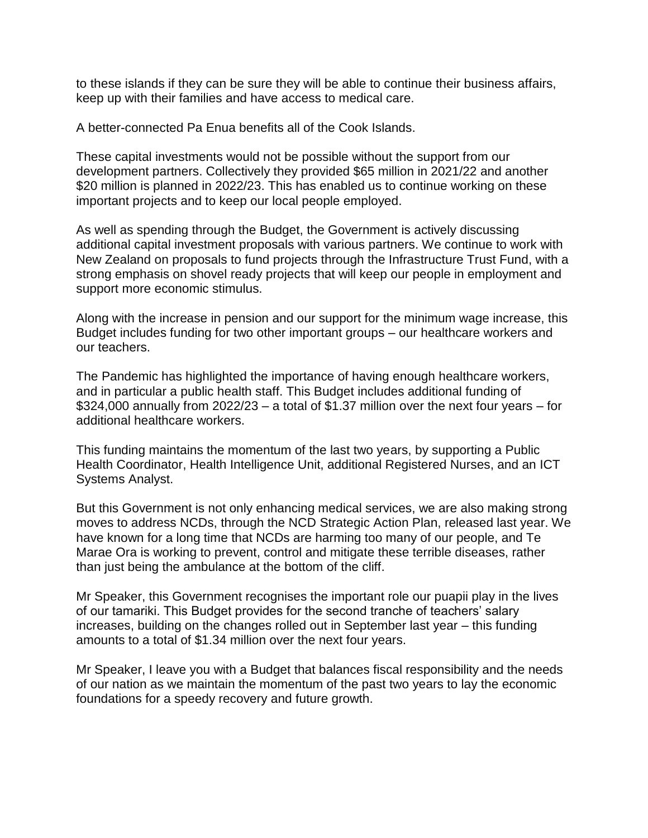to these islands if they can be sure they will be able to continue their business affairs, keep up with their families and have access to medical care.

A better-connected Pa Enua benefits all of the Cook Islands.

These capital investments would not be possible without the support from our development partners. Collectively they provided \$65 million in 2021/22 and another \$20 million is planned in 2022/23. This has enabled us to continue working on these important projects and to keep our local people employed.

As well as spending through the Budget, the Government is actively discussing additional capital investment proposals with various partners. We continue to work with New Zealand on proposals to fund projects through the Infrastructure Trust Fund, with a strong emphasis on shovel ready projects that will keep our people in employment and support more economic stimulus.

Along with the increase in pension and our support for the minimum wage increase, this Budget includes funding for two other important groups – our healthcare workers and our teachers.

The Pandemic has highlighted the importance of having enough healthcare workers, and in particular a public health staff. This Budget includes additional funding of \$324,000 annually from  $2022/23 - a$  total of \$1.37 million over the next four years – for additional healthcare workers.

This funding maintains the momentum of the last two years, by supporting a Public Health Coordinator, Health Intelligence Unit, additional Registered Nurses, and an ICT Systems Analyst.

But this Government is not only enhancing medical services, we are also making strong moves to address NCDs, through the NCD Strategic Action Plan, released last year. We have known for a long time that NCDs are harming too many of our people, and Te Marae Ora is working to prevent, control and mitigate these terrible diseases, rather than just being the ambulance at the bottom of the cliff.

Mr Speaker, this Government recognises the important role our puapii play in the lives of our tamariki. This Budget provides for the second tranche of teachers' salary increases, building on the changes rolled out in September last year – this funding amounts to a total of \$1.34 million over the next four years.

Mr Speaker, I leave you with a Budget that balances fiscal responsibility and the needs of our nation as we maintain the momentum of the past two years to lay the economic foundations for a speedy recovery and future growth.